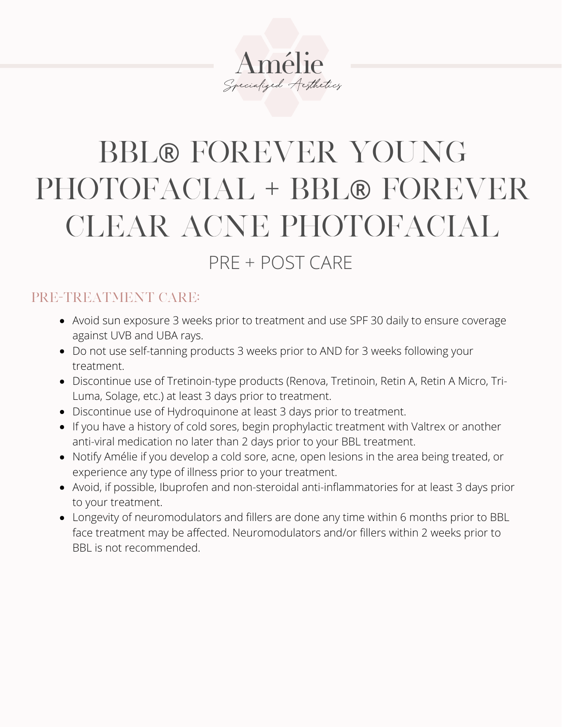# Amélie Specialized Aesthetics

## BBL® FOREVER YOUNG PHOTOFACIAL + BBL® FOREVER CLEAR ACNE PHOTOFACIAL

### PRE + POST CARE

#### PRE-TREATMENT CARE:

- Avoid sun exposure 3 weeks prior to treatment and use SPF 30 daily to ensure coverage against UVB and UBA rays.
- Do not use self-tanning products 3 weeks prior to AND for 3 weeks following your treatment.
- Discontinue use of Tretinoin-type products (Renova, Tretinoin, Retin A, Retin A Micro, Tri-Luma, Solage, etc.) at least 3 days prior to treatment.
- Discontinue use of Hydroquinone at least 3 days prior to treatment.
- If you have a history of cold sores, begin prophylactic treatment with Valtrex or another anti-viral medication no later than 2 days prior to your BBL treatment.
- Notify Amélie if you develop a cold sore, acne, open lesions in the area being treated, or experience any type of illness prior to your treatment.
- Avoid, if possible, Ibuprofen and non-steroidal anti-inflammatories for at least 3 days prior to your treatment.
- Longevity of neuromodulators and fillers are done any time within 6 months prior to BBL face treatment may be affected. Neuromodulators and/or fillers within 2 weeks prior to BBL is not recommended.